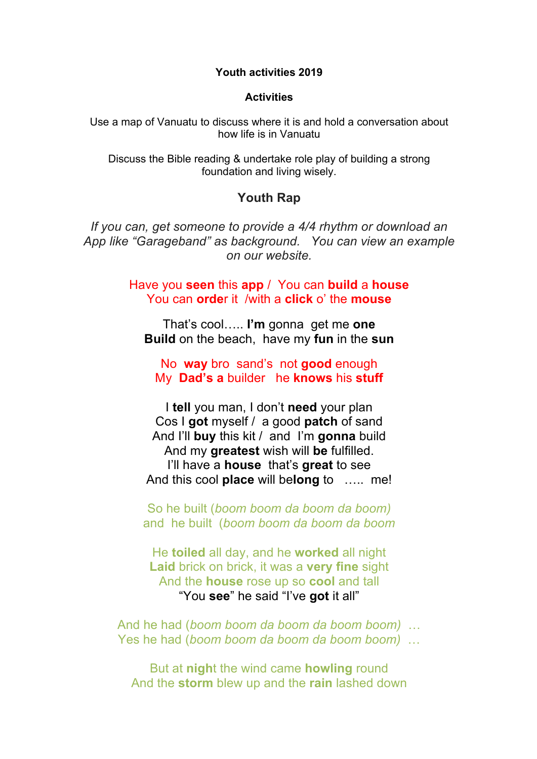**Youth activities 2019**

#### **Activities**

Use a map of Vanuatu to discuss where it is and hold a conversation about how life is in Vanuatu

Discuss the Bible reading & undertake role play of building a strong foundation and living wisely.

# **Youth Rap**

*If you can, get someone to provide a 4/4 rhythm or download an App like "Garageband" as background. You can view an example on our website.*

> Have you **seen** this **app** / You can **build** a **house** You can **orde**r it /with a **click** o' the **mouse**

That's cool….. **I'm** gonna get me **one Build** on the beach, have my **fun** in the **sun**

No **way** bro sand's not **good** enough My **Dad's a** builder he **knows** his **stuff**

I **tell** you man, I don't **need** your plan Cos I **got** myself / a good **patch** of sand And I'll **buy** this kit / and I'm **gonna** build And my **greatest** wish will **be** fulfilled. I'll have a **house** that's **great** to see And this cool **place** will be**long** to ….. me!

So he built (*boom boom da boom da boom)* and he built (*boom boom da boom da boom*

He **toiled** all day, and he **worked** all night **Laid** brick on brick, it was a **very fine** sight And the **house** rose up so **cool** and tall "You **see**" he said "I've **got** it all"

And he had (*boom boom da boom da boom boom)* … Yes he had (*boom boom da boom da boom boom)* …

But at **nigh**t the wind came **howling** round And the **storm** blew up and the **rain** lashed down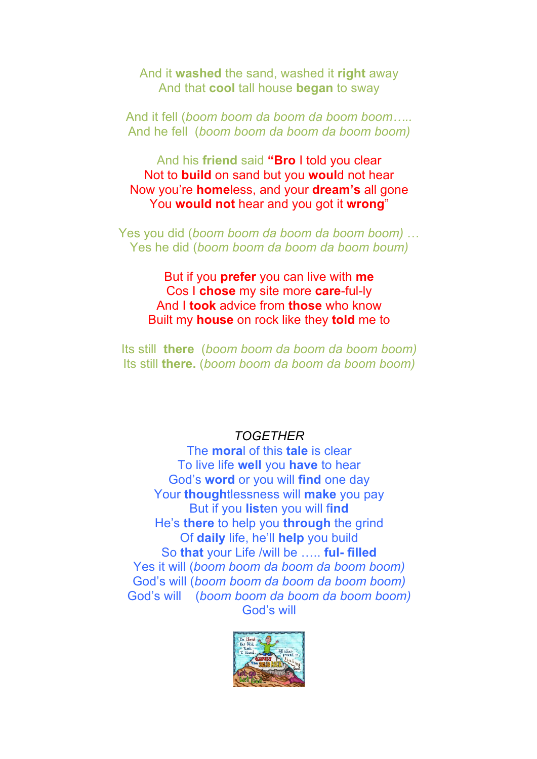And it **washed** the sand, washed it **right** away And that **cool** tall house **began** to sway

And it fell (*boom boom da boom da boom boom…..* And he fell (*boom boom da boom da boom boom)*

And his **friend** said **"Bro** I told you clear Not to **build** on sand but you **woul**d not hear Now you're **home**less, and your **dream's** all gone You **would not** hear and you got it **wrong**"

Yes you did (*boom boom da boom da boom boom)* … Yes he did (*boom boom da boom da boom boum)*

But if you **prefer** you can live with **me** Cos I **chose** my site more **care**-ful-ly And I **took** advice from **those** who know Built my **house** on rock like they **told** me to

Its still **there** (*boom boom da boom da boom boom)* Its still **there.** (*boom boom da boom da boom boom)*

# *TOGETHER*

The **mora**l of this **tale** is clear To live life **well** you **have** to hear God's **word** or you will **find** one day Your **though**tlessness will **make** you pay But if you **list**en you will f**ind** He's **there** to help you **through** the grind Of **daily** life, he'll **help** you build So **that** your Life /will be ….. **ful- filled** Yes it will (*boom boom da boom da boom boom)* God's will (*boom boom da boom da boom boom)* God's will (*boom boom da boom da boom boom)* God's will

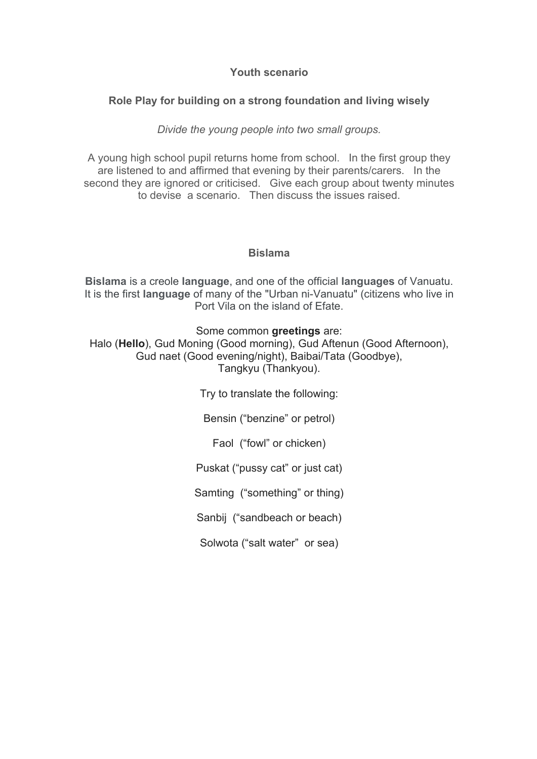## **Youth scenario**

## **Role Play for building on a strong foundation and living wisely**

*Divide the young people into two small groups.*

A young high school pupil returns home from school. In the first group they are listened to and affirmed that evening by their parents/carers. In the second they are ignored or criticised. Give each group about twenty minutes to devise a scenario. Then discuss the issues raised.

#### **Bislama**

**Bislama** is a creole **language**, and one of the official **languages** of Vanuatu. It is the first **language** of many of the "Urban ni-Vanuatu" (citizens who live in Port Vila on the island of Efate.

Some common **greetings** are:

Halo (**Hello**), Gud Moning (Good morning), Gud Aftenun (Good Afternoon), Gud naet (Good evening/night), Baibai/Tata (Goodbye), Tangkyu (Thankyou).

Try to translate the following:

Bensin ("benzine" or petrol)

Faol ("fowl" or chicken)

Puskat ("pussy cat" or just cat)

Samting ("something" or thing)

Sanbij ("sandbeach or beach)

Solwota ("salt water" or sea)